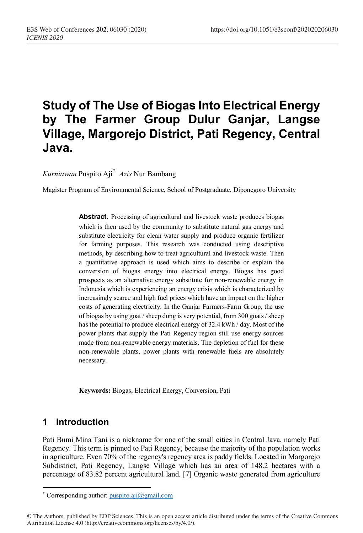# **Study of The Use of Biogas Into Electrical Energy by The Farmer Group Dulur Ganjar, Langse Village, Margorejo District, Pati Regency, Central Java.**

*Kurniawan* Puspito Aji\*  *Azis* Nur Bambang

Magister Program of Environmental Science, School of Postgraduate, Diponegoro University

**Abstract**. Processing of agricultural and livestock waste produces biogas which is then used by the community to substitute natural gas energy and substitute electricity for clean water supply and produce organic fertilizer for farming purposes. This research was conducted using descriptive methods, by describing how to treat agricultural and livestock waste. Then a quantitative approach is used which aims to describe or explain the conversion of biogas energy into electrical energy. Biogas has good prospects as an alternative energy substitute for non-renewable energy in Indonesia which is experiencing an energy crisis which is characterized by increasingly scarce and high fuel prices which have an impact on the higher costs of generating electricity. In the Ganjar Farmers-Farm Group, the use of biogas by using goat / sheep dung is very potential, from 300 goats / sheep has the potential to produce electrical energy of 32.4 kWh / day. Most of the power plants that supply the Pati Regency region still use energy sources made from non-renewable energy materials. The depletion of fuel for these non-renewable plants, power plants with renewable fuels are absolutely necessary.

**Keywords:** Biogas, Electrical Energy, Conversion, Pati

### **1 Introduction**

 $\overline{a}$ 

Pati Bumi Mina Tani is a nickname for one of the small cities in Central Java, namely Pati Regency. This term is pinned to Pati Regency, because the majority of the population works in agriculture. Even 70% of the regency's regency area is paddy fields. Located in Margorejo Subdistrict, Pati Regency, Langse Village which has an area of 148.2 hectares with a percentage of 83.82 percent agricultural land. [7] Organic waste generated from agriculture

<sup>\*</sup> Corresponding author: puspito.aji@gmail.com

<sup>©</sup> The Authors, published by EDP Sciences. This is an open access article distributed under the terms of the Creative Commons Attribution License 4.0 (http://creativecommons.org/licenses/by/4.0/).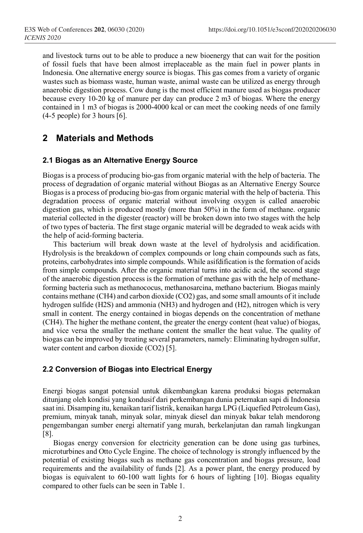and livestock turns out to be able to produce a new bioenergy that can wait for the position of fossil fuels that have been almost irreplaceable as the main fuel in power plants in Indonesia. One alternative energy source is biogas. This gas comes from a variety of organic wastes such as biomass waste, human waste, animal waste can be utilized as energy through anaerobic digestion process. Cow dung is the most efficient manure used as biogas producer because every 10-20 kg of manure per day can produce 2 m3 of biogas. Where the energy contained in 1 m3 of biogas is 2000-4000 kcal or can meet the cooking needs of one family  $(4-5 \text{ people})$  for 3 hours [6].

### **2 Materials and Methods**

### **2.1 Biogas as an Alternative Energy Source**

Biogas is a process of producing bio-gas from organic material with the help of bacteria. The process of degradation of organic material without Biogas as an Alternative Energy Source Biogas is a process of producing bio-gas from organic material with the help of bacteria. This degradation process of organic material without involving oxygen is called anaerobic digestion gas, which is produced mostly (more than 50%) in the form of methane. organic material collected in the digester (reactor) will be broken down into two stages with the help of two types of bacteria. The first stage organic material will be degraded to weak acids with the help of acid-forming bacteria.

This bacterium will break down waste at the level of hydrolysis and acidification. Hydrolysis is the breakdown of complex compounds or long chain compounds such as fats, proteins, carbohydrates into simple compounds. While asifdification is the formation of acids from simple compounds. After the organic material turns into acidic acid, the second stage of the anaerobic digestion process is the formation of methane gas with the help of methaneforming bacteria such as methanococus, methanosarcina, methano bacterium. Biogas mainly contains methane (CH4) and carbon dioxide (CO2) gas, and some small amounts of it include hydrogen sulfide (H2S) and ammonia (NH3) and hydrogen and (H2), nitrogen which is very small in content. The energy contained in biogas depends on the concentration of methane (CH4). The higher the methane content, the greater the energy content (heat value) of biogas, and vice versa the smaller the methane content the smaller the heat value. The quality of biogas can be improved by treating several parameters, namely: Eliminating hydrogen sulfur, water content and carbon dioxide (CO2) [5].

### **2.2 Conversion of Biogas into Electrical Energy**

Energi biogas sangat potensial untuk dikembangkan karena produksi biogas peternakan ditunjang oleh kondisi yang kondusif dari perkembangan dunia peternakan sapi di Indonesia saat ini. Disamping itu, kenaikan tarif listrik, kenaikan harga LPG (Liquefied Petroleum Gas), premium, minyak tanah, minyak solar, minyak diesel dan minyak bakar telah mendorong pengembangan sumber energi alternatif yang murah, berkelanjutan dan ramah lingkungan [8].

Biogas energy conversion for electricity generation can be done using gas turbines, microturbines and Otto Cycle Engine. The choice of technology is strongly influenced by the potential of existing biogas such as methane gas concentration and biogas pressure, load requirements and the availability of funds [2]. As a power plant, the energy produced by biogas is equivalent to 60-100 watt lights for 6 hours of lighting [10]. Biogas equality compared to other fuels can be seen in Table 1.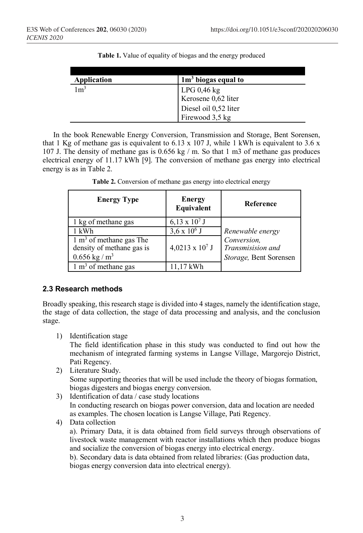| Application    | $1m3$ biogas equal to                          |
|----------------|------------------------------------------------|
|                |                                                |
| $1 \text{m}^3$ |                                                |
|                | LPG $0,46 \text{ kg}$<br>Kerosene $0,62$ liter |
|                | Diesel oil 0,52 liter                          |
|                | Firewood 3,5 kg                                |

In the book Renewable Energy Conversion, Transmission and Storage, Bent Sorensen, that 1 Kg of methane gas is equivalent to 6.13 x 107 J, while 1 kWh is equivalent to 3.6 x 107 J. The density of methane gas is 0.656 kg / m. So that 1 m3 of methane gas produces electrical energy of 11.17 kWh [9]. The conversion of methane gas energy into electrical energy is as in Table 2.

| <b>Energy Type</b>                                                                             | Energy<br>Equivalent   | <b>Reference</b>                                           |
|------------------------------------------------------------------------------------------------|------------------------|------------------------------------------------------------|
| 1 kg of methane gas                                                                            | $6,13 \times 10^7$ J   |                                                            |
| 1 kWh                                                                                          | $3,6 \times 10^6$ J    | Renewable energy                                           |
| $1 \text{ m}^3$ of methane gas The<br>density of methane gas is<br>$0.656$ kg / m <sup>3</sup> | $4,0213 \times 10^7$ J | Conversion,<br>Transmisision and<br>Storage, Bent Sorensen |
| $1 \text{ m}^3$ of methane gas                                                                 | $11.17$ kWh            |                                                            |

| Table 2. Conversion of methane gas energy into electrical energy |  |  |
|------------------------------------------------------------------|--|--|
|------------------------------------------------------------------|--|--|

### **2.3 Research methods**

Broadly speaking, this research stage is divided into 4 stages, namely the identification stage, the stage of data collection, the stage of data processing and analysis, and the conclusion stage.

1) Identification stage

The field identification phase in this study was conducted to find out how the mechanism of integrated farming systems in Langse Village, Margorejo District, Pati Regency.

- 2) Literature Study. Some supporting theories that will be used include the theory of biogas formation, biogas digesters and biogas energy conversion.
- 3) Identification of data / case study locations In conducting research on biogas power conversion, data and location are needed as examples. The chosen location is Langse Village, Pati Regency.
- 4) Data collection

a). Primary Data, it is data obtained from field surveys through observations of livestock waste management with reactor installations which then produce biogas and socialize the conversion of biogas energy into electrical energy.

b). Secondary data is data obtained from related libraries: (Gas production data, biogas energy conversion data into electrical energy).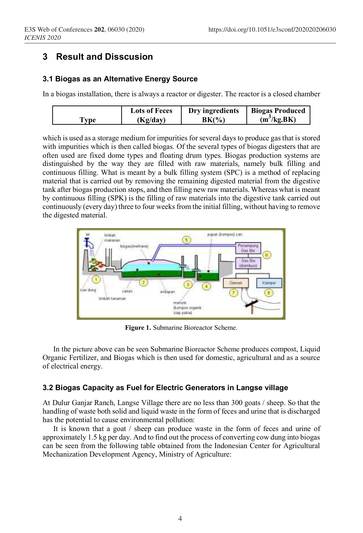### **3 Result and Disscusion**

#### **3.1 Biogas as an Alternative Energy Source**

In a biogas installation, there is always a reactor or digester. The reactor is a closed chamber

|     | <b>Lots of Feces</b> | Dry ingredients | <b>Biogas Produced</b>  |
|-----|----------------------|-----------------|-------------------------|
| vpe | (Kg/dav)             | BK(%`           | (m <sup>3</sup> /kg.BK) |

which is used as a storage medium for impurities for several days to produce gas that is stored with impurities which is then called biogas. Of the several types of biogas digesters that are often used are fixed dome types and floating drum types. Biogas production systems are distinguished by the way they are filled with raw materials, namely bulk filling and continuous filling. What is meant by a bulk filling system (SPC) is a method of replacing material that is carried out by removing the remaining digested material from the digestive tank after biogas production stops, and then filling new raw materials. Whereas what is meant by continuous filling (SPK) is the filling of raw materials into the digestive tank carried out continuously (every day) three to four weeks from the initial filling, without having to remove the digested material.



**Figure 1.** Submarine Bioreactor Scheme.

In the picture above can be seen Submarine Bioreactor Scheme produces compost, Liquid Organic Fertilizer, and Biogas which is then used for domestic, agricultural and as a source of electrical energy.

### **3.2 Biogas Capacity as Fuel for Electric Generators in Langse village**

At Dulur Ganjar Ranch, Langse Village there are no less than 300 goats / sheep. So that the handling of waste both solid and liquid waste in the form of feces and urine that is discharged has the potential to cause environmental pollution:

It is known that a goat / sheep can produce waste in the form of feces and urine of approximately 1.5 kg per day. And to find out the process of converting cow dung into biogas can be seen from the following table obtained from the Indonesian Center for Agricultural Mechanization Development Agency, Ministry of Agriculture: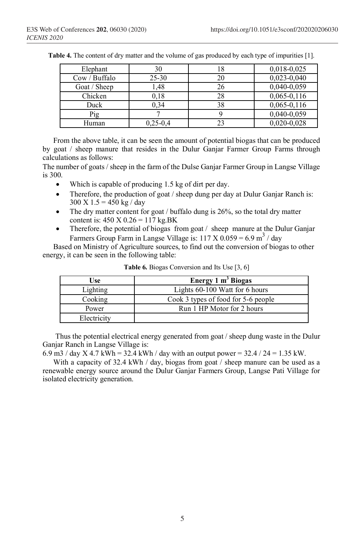| Elephant      | 30         | 18 | $0,018-0,025$   |
|---------------|------------|----|-----------------|
| Cow / Buffalo | $25 - 30$  | 20 | $0,023-0,040$   |
| Goat / Sheep  | 1,48       | 26 | 0,040-0,059     |
| Chicken       | 0,18       | 28 | $0,065-0,116$   |
| Duck          | 0.34       | 38 | $0,065 - 0,116$ |
| Pig           |            |    | 0,040-0,059     |
| Human         | $0,25-0,4$ | 23 | $0,020-0,028$   |

**Table 4.** The content of dry matter and the volume of gas produced by each type of impurities [1].

From the above table, it can be seen the amount of potential biogas that can be produced by goat / sheep manure that resides in the Dulur Ganjar Farmer Group Farms through calculations as follows:

The number of goats / sheep in the farm of the Dulse Ganjar Farmer Group in Langse Village is 300.

- Which is capable of producing 1.5 kg of dirt per day.
- Therefore, the production of goat / sheep dung per day at Dulur Ganjar Ranch is:  $300 \text{ X}$  1.5 = 450 kg / day
- The dry matter content for goat / buffalo dung is  $26\%$ , so the total dry matter content is:  $450 \text{ X } 0.26 = 117 \text{ kg.BK}$
- Therefore, the potential of biogas from goat / sheep manure at the Dulur Ganjar Farmers Group Farm in Langse Village is:  $117 \text{ X } 0.059 = 6.9 \text{ m}^3 / \text{day}$

Based on Ministry of Agriculture sources, to find out the conversion of biogas to other energy, it can be seen in the following table:

| Use         | Energy $1 \text{ m}^3$ Biogas       |  |
|-------------|-------------------------------------|--|
| Lighting    | Lights 60-100 Watt for 6 hours      |  |
| Cooking     | Cook 3 types of food for 5-6 people |  |
| Power       | Run 1 HP Motor for 2 hours          |  |
| Electricity |                                     |  |

**Table 6.** Biogas Conversion and Its Use [3, 6]

Thus the potential electrical energy generated from goat / sheep dung waste in the Dulur Ganjar Ranch in Langse Village is:

6.9 m3 / day X 4.7 kWh = 32.4 kWh / day with an output power =  $32.4$  /  $24 = 1.35$  kW.

With a capacity of 32.4 kWh / day, biogas from goat / sheep manure can be used as a renewable energy source around the Dulur Ganjar Farmers Group, Langse Pati Village for isolated electricity generation.